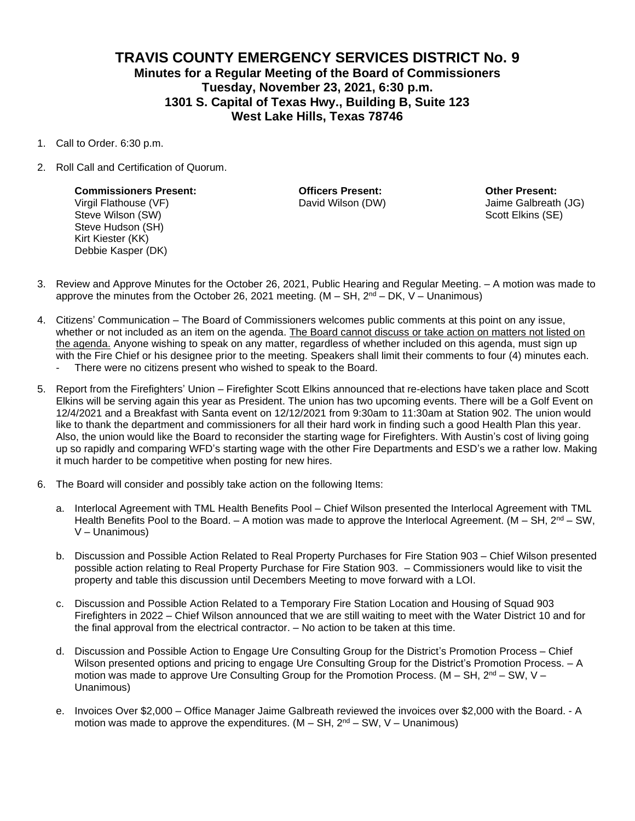## **TRAVIS COUNTY EMERGENCY SERVICES DISTRICT No. 9 Minutes for a Regular Meeting of the Board of Commissioners Tuesday, November 23, 2021, 6:30 p.m. 1301 S. Capital of Texas Hwy., Building B, Suite 123 West Lake Hills, Texas 78746**

- 1. Call to Order. 6:30 p.m.
- 2. Roll Call and Certification of Quorum.

**Commissioners Present: Officers Present: Other Present:** Virgil Flathouse (VF) David Wilson (DW) Jaime Galbreath (JG) Steve Wilson (SW) Steve Wilson (SW) Scott Elkins (SE) Scott Elkins (SE) Steve Hudson (SH) Kirt Kiester (KK) Debbie Kasper (DK)

- 3. Review and Approve Minutes for the October 26, 2021, Public Hearing and Regular Meeting. A motion was made to approve the minutes from the October 26, 2021 meeting.  $(M - SH, 2<sup>nd</sup> – DK, V – Unanimous)$
- 4. Citizens' Communication The Board of Commissioners welcomes public comments at this point on any issue, whether or not included as an item on the agenda. The Board cannot discuss or take action on matters not listed on the agenda. Anyone wishing to speak on any matter, regardless of whether included on this agenda, must sign up with the Fire Chief or his designee prior to the meeting. Speakers shall limit their comments to four (4) minutes each. There were no citizens present who wished to speak to the Board.
- 5. Report from the Firefighters' Union Firefighter Scott Elkins announced that re-elections have taken place and Scott Elkins will be serving again this year as President. The union has two upcoming events. There will be a Golf Event on 12/4/2021 and a Breakfast with Santa event on 12/12/2021 from 9:30am to 11:30am at Station 902. The union would like to thank the department and commissioners for all their hard work in finding such a good Health Plan this year. Also, the union would like the Board to reconsider the starting wage for Firefighters. With Austin's cost of living going up so rapidly and comparing WFD's starting wage with the other Fire Departments and ESD's we a rather low. Making
- 6. The Board will consider and possibly take action on the following Items:

it much harder to be competitive when posting for new hires.

- a. Interlocal Agreement with TML Health Benefits Pool Chief Wilson presented the Interlocal Agreement with TML Health Benefits Pool to the Board.  $-$  A motion was made to approve the Interlocal Agreement. (M  $-$  SH, 2<sup>nd</sup>  $-$  SW, V – Unanimous)
- b. Discussion and Possible Action Related to Real Property Purchases for Fire Station 903 Chief Wilson presented possible action relating to Real Property Purchase for Fire Station 903. – Commissioners would like to visit the property and table this discussion until Decembers Meeting to move forward with a LOI.
- c. Discussion and Possible Action Related to a Temporary Fire Station Location and Housing of Squad 903 Firefighters in 2022 – Chief Wilson announced that we are still waiting to meet with the Water District 10 and for the final approval from the electrical contractor. – No action to be taken at this time.
- d. Discussion and Possible Action to Engage Ure Consulting Group for the District's Promotion Process Chief Wilson presented options and pricing to engage Ure Consulting Group for the District's Promotion Process. - A motion was made to approve Ure Consulting Group for the Promotion Process. (M – SH,  $2<sup>nd</sup>$  – SW, V – Unanimous)
- e. Invoices Over \$2,000 Office Manager Jaime Galbreath reviewed the invoices over \$2,000 with the Board. A motion was made to approve the expenditures.  $(M - SH, 2<sup>nd</sup> – SW, V – Unanimous)$